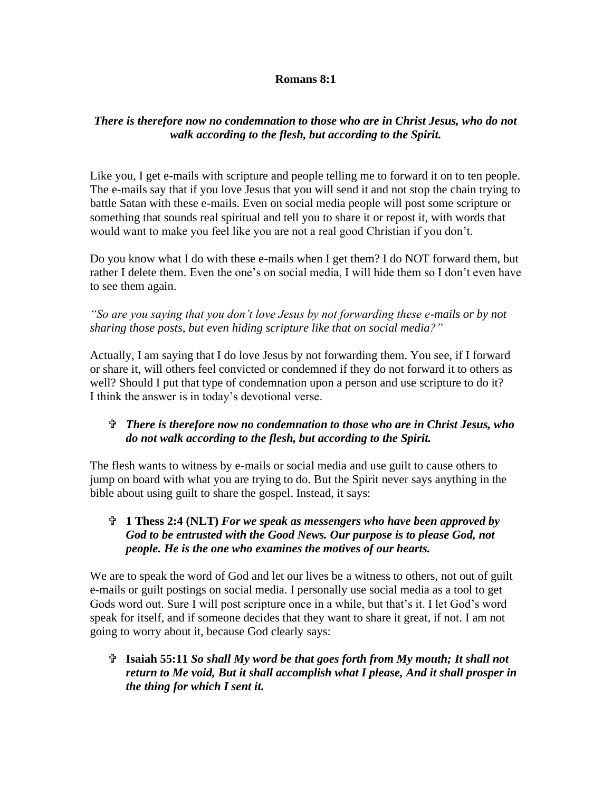## **Romans 8:1**

## *There is therefore now no condemnation to those who are in Christ Jesus, who do not walk according to the flesh, but according to the Spirit.*

Like you, I get e-mails with scripture and people telling me to forward it on to ten people. The e-mails say that if you love Jesus that you will send it and not stop the chain trying to battle Satan with these e-mails. Even on social media people will post some scripture or something that sounds real spiritual and tell you to share it or repost it, with words that would want to make you feel like you are not a real good Christian if you don't.

Do you know what I do with these e-mails when I get them? I do NOT forward them, but rather I delete them. Even the one's on social media, I will hide them so I don't even have to see them again.

*"So are you saying that you don't love Jesus by not forwarding these e-mails or by not sharing those posts, but even hiding scripture like that on social media?"*

Actually, I am saying that I do love Jesus by not forwarding them. You see, if I forward or share it, will others feel convicted or condemned if they do not forward it to others as well? Should I put that type of condemnation upon a person and use scripture to do it? I think the answer is in today's devotional verse.

## *There is therefore now no condemnation to those who are in Christ Jesus, who do not walk according to the flesh, but according to the Spirit.*

The flesh wants to witness by e-mails or social media and use guilt to cause others to jump on board with what you are trying to do. But the Spirit never says anything in the bible about using guilt to share the gospel. Instead, it says:

## **1 Thess 2:4 (NLT)** *For we speak as messengers who have been approved by God to be entrusted with the Good News. Our purpose is to please God, not people. He is the one who examines the motives of our hearts.*

We are to speak the word of God and let our lives be a witness to others, not out of guilt e-mails or guilt postings on social media. I personally use social media as a tool to get Gods word out. Sure I will post scripture once in a while, but that's it. I let God's word speak for itself, and if someone decides that they want to share it great, if not. I am not going to worry about it, because God clearly says:

 **Isaiah 55:11** *So shall My word be that goes forth from My mouth; It shall not return to Me void, But it shall accomplish what I please, And it shall prosper in the thing for which I sent it.*